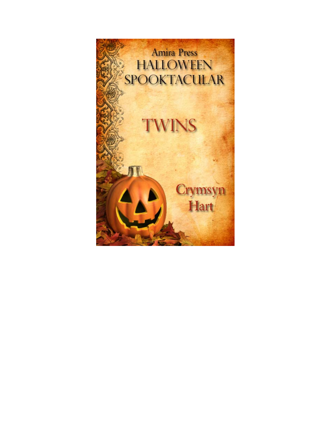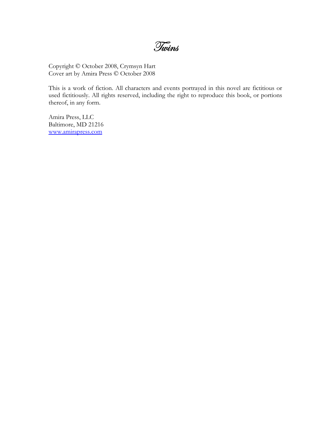Twins

Copyright © October 2008, Crymsyn Hart Cover art by Amira Press © October 2008

This is a work of fiction. All characters and events portrayed in this novel are fictitious or used fictitiously. All rights reserved, including the right to reproduce this book, or portions thereof, in any form.

Amira Press, LLC Baltimore, MD 21216 www.amirapress.com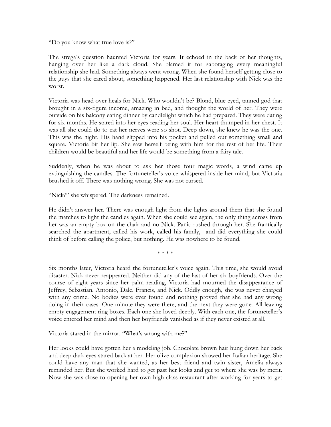"Do you know what true love is?"

The strega's question haunted Victoria for years. It echoed in the back of her thoughts, hanging over her like a dark cloud. She blamed it for sabotaging every meaningful relationship she had. Something always went wrong. When she found herself getting close to the guys that she cared about, something happened. Her last relationship with Nick was the worst.

Victoria was head over heals for Nick. Who wouldn't be? Blond, blue eyed, tanned god that brought in a six-figure income, amazing in bed, and thought the world of her. They were outside on his balcony eating dinner by candlelight which he had prepared. They were dating for six months. He stared into her eyes reading her soul. Her heart thumped in her chest. It was all she could do to eat her nerves were so shot. Deep down, she knew he was the one. This was the night. His hand slipped into his pocket and pulled out something small and square. Victoria bit her lip. She saw herself being with him for the rest of her life. Their children would be beautiful and her life would be something from a fairy tale.

Suddenly, when he was about to ask her those four magic words, a wind came up extinguishing the candles. The fortuneteller's voice whispered inside her mind, but Victoria brushed it off. There was nothing wrong. She was not cursed.

"Nick?" she whispered. The darkness remained.

He didn't answer her. There was enough light from the lights around them that she found the matches to light the candles again. When she could see again, the only thing across from her was an empty box on the chair and no Nick. Panic rushed through her. She frantically searched the apartment, called his work, called his family, and did everything she could think of before calling the police, but nothing. He was nowhere to be found.

\* \* \* \*

Six months later, Victoria heard the fortuneteller's voice again. This time, she would avoid disaster. Nick never reappeared. Neither did any of the last of her six boyfriends. Over the course of eight years since her palm reading, Victoria had mourned the disappearance of Jeffrey, Sebastian, Antonio, Dale, Francis, and Nick. Oddly enough, she was never charged with any crime. No bodies were ever found and nothing proved that she had any wrong doing in their cases. One minute they were there, and the next they were gone. All leaving empty engagement ring boxes. Each one she loved deeply. With each one, the fortuneteller's voice entered her mind and then her boyfriends vanished as if they never existed at all.

Victoria stared in the mirror. "What's wrong with me?"

Her looks could have gotten her a modeling job. Chocolate brown hair hung down her back and deep dark eyes stared back at her. Her olive complexion showed her Italian heritage. She could have any man that she wanted, as her best friend and twin sister, Amelia always reminded her. But she worked hard to get past her looks and get to where she was by merit. Now she was close to opening her own high class restaurant after working for years to get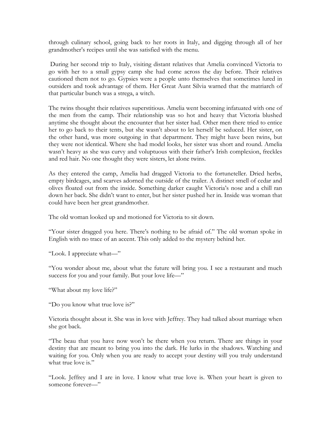through culinary school, going back to her roots in Italy, and digging through all of her grandmother's recipes until she was satisfied with the menu.

 During her second trip to Italy, visiting distant relatives that Amelia convinced Victoria to go with her to a small gypsy camp she had come across the day before. Their relatives cautioned them not to go. Gypsies were a people unto themselves that sometimes lured in outsiders and took advantage of them. Her Great Aunt Silvia warned that the matriarch of that particular bunch was a strega, a witch.

The twins thought their relatives superstitious. Amelia went becoming infatuated with one of the men from the camp. Their relationship was so hot and heavy that Victoria blushed anytime she thought about the encounter that her sister had. Other men there tried to entice her to go back to their tents, but she wasn't about to let herself be seduced. Her sister, on the other hand, was more outgoing in that department. They might have been twins, but they were not identical. Where she had model looks, her sister was short and round. Amelia wasn't heavy as she was curvy and voluptuous with their father's Irish complexion, freckles and red hair. No one thought they were sisters, let alone twins.

As they entered the camp, Amelia had dragged Victoria to the fortuneteller. Dried herbs, empty birdcages, and scarves adorned the outside of the trailer. A distinct smell of cedar and olives floated out from the inside. Something darker caught Victoria's nose and a chill ran down her back. She didn't want to enter, but her sister pushed her in. Inside was woman that could have been her great grandmother.

The old woman looked up and motioned for Victoria to sit down.

"Your sister dragged you here. There's nothing to be afraid of." The old woman spoke in English with no trace of an accent. This only added to the mystery behind her.

"Look. I appreciate what—"

"You wonder about me, about what the future will bring you. I see a restaurant and much success for you and your family. But your love life—"

"What about my love life?"

"Do you know what true love is?"

Victoria thought about it. She was in love with Jeffrey. They had talked about marriage when she got back.

"The beau that you have now won't be there when you return. There are things in your destiny that are meant to bring you into the dark. He lurks in the shadows. Watching and waiting for you. Only when you are ready to accept your destiny will you truly understand what true love is."

"Look. Jeffrey and I are in love. I know what true love is. When your heart is given to someone forever—"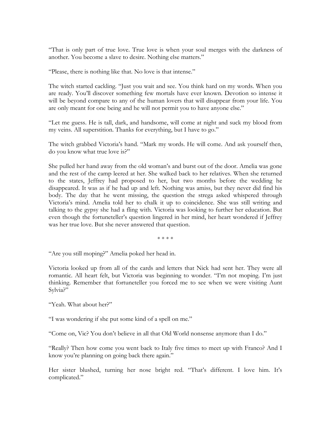"That is only part of true love. True love is when your soul merges with the darkness of another. You become a slave to desire. Nothing else matters."

"Please, there is nothing like that. No love is that intense."

The witch started cackling. "Just you wait and see. You think hard on my words. When you are ready. You'll discover something few mortals have ever known. Devotion so intense it will be beyond compare to any of the human lovers that will disappear from your life. You are only meant for one being and he will not permit you to have anyone else."

"Let me guess. He is tall, dark, and handsome, will come at night and suck my blood from my veins. All superstition. Thanks for everything, but I have to go."

The witch grabbed Victoria's hand. "Mark my words. He will come. And ask yourself then, do you know what true love is?"

She pulled her hand away from the old woman's and burst out of the door. Amelia was gone and the rest of the camp leered at her. She walked back to her relatives. When she returned to the states, Jeffrey had proposed to her, but two months before the wedding he disappeared. It was as if he had up and left. Nothing was amiss, but they never did find his body. The day that he went missing, the question the strega asked whispered through Victoria's mind. Amelia told her to chalk it up to coincidence. She was still writing and talking to the gypsy she had a fling with. Victoria was looking to further her education. But even though the fortuneteller's question lingered in her mind, her heart wondered if Jeffrey was her true love. But she never answered that question.

\* \* \* \*

"Are you still moping?" Amelia poked her head in.

Victoria looked up from all of the cards and letters that Nick had sent her. They were all romantic. All heart felt, but Victoria was beginning to wonder. "I'm not moping. I'm just thinking. Remember that fortuneteller you forced me to see when we were visiting Aunt Sylvia?"

"Yeah. What about her?"

"I was wondering if she put some kind of a spell on me."

"Come on, Vic? You don't believe in all that Old World nonsense anymore than I do."

"Really? Then how come you went back to Italy five times to meet up with Franco? And I know you're planning on going back there again."

Her sister blushed, turning her nose bright red. "That's different. I love him. It's complicated."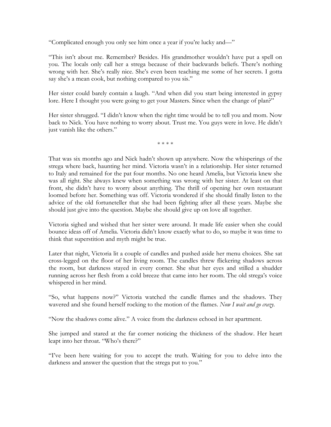"Complicated enough you only see him once a year if you're lucky and—"

"This isn't about me. Remember? Besides. His grandmother wouldn't have put a spell on you. The locals only call her a strega because of their backwards beliefs. There's nothing wrong with her. She's really nice. She's even been teaching me some of her secrets. I gotta say she's a mean cook, but nothing compared to you sis."

Her sister could barely contain a laugh. "And when did you start being interested in gypsy lore. Here I thought you were going to get your Masters. Since when the change of plan?"

Her sister shrugged. "I didn't know when the right time would be to tell you and mom. Now back to Nick. You have nothing to worry about. Trust me. You guys were in love. He didn't just vanish like the others."

\* \* \* \*

That was six months ago and Nick hadn't shown up anywhere. Now the whisperings of the strega where back, haunting her mind. Victoria wasn't in a relationship. Her sister returned to Italy and remained for the pat four months. No one heard Amelia, but Victoria knew she was all right. She always knew when something was wrong with her sister. At least on that front, she didn't have to worry about anything. The thrill of opening her own restaurant loomed before her. Something was off. Victoria wondered if she should finally listen to the advice of the old fortuneteller that she had been fighting after all these years. Maybe she should just give into the question. Maybe she should give up on love all together.

Victoria sighed and wished that her sister were around. It made life easier when she could bounce ideas off of Amelia. Victoria didn't know exactly what to do, so maybe it was time to think that superstition and myth might be true.

Later that night, Victoria lit a couple of candles and pushed aside her menu choices. She sat cross-legged on the floor of her living room. The candles threw flickering shadows across the room, but darkness stayed in every corner. She shut her eyes and stilled a shudder running across her flesh from a cold breeze that came into her room. The old strega's voice whispered in her mind.

"So, what happens now?" Victoria watched the candle flames and the shadows. They wavered and she found herself rocking to the motion of the flames. *Now I wait and go crazy.* 

"Now the shadows come alive." A voice from the darkness echoed in her apartment.

She jumped and stared at the far corner noticing the thickness of the shadow. Her heart leapt into her throat. "Who's there?"

"I've been here waiting for you to accept the truth. Waiting for you to delve into the darkness and answer the question that the strega put to you."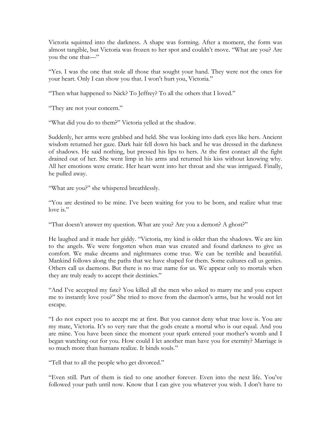Victoria squinted into the darkness. A shape was forming. After a moment, the form was almost tangible, but Victoria was frozen to her spot and couldn't move. "What are you? Are you the one that—"

"Yes. I was the one that stole all those that sought your hand. They were not the ones for your heart. Only I can show you that. I won't hurt you, Victoria."

"Then what happened to Nick? To Jeffrey? To all the others that I loved."

"They are not your concern."

"What did you do to them?" Victoria yelled at the shadow.

Suddenly, her arms were grabbed and held. She was looking into dark eyes like hers. Ancient wisdom returned her gaze. Dark hair fell down his back and he was dressed in the darkness of shadows. He said nothing, but pressed his lips to hers. At the first contact all the fight drained out of her. She went limp in his arms and returned his kiss without knowing why. All her emotions were erratic. Her heart went into her throat and she was intrigued. Finally, he pulled away.

"What are you?" she whispered breathlessly.

"You are destined to be mine. I've been waiting for you to be born, and realize what true love is."

"That doesn't answer my question. What are you? Are you a demon? A ghost?"

He laughed and it made her giddy. "Victoria, my kind is older than the shadows. We are kin to the angels. We were forgotten when man was created and found darkness to give us comfort. We make dreams and nightmares come true. We can be terrible and beautiful. Mankind follows along the paths that we have shaped for them. Some cultures call us genies. Others call us daemons. But there is no true name for us. We appear only to mortals when they are truly ready to accept their destinies."

"And I've accepted my fate? You killed all the men who asked to marry me and you expect me to instantly love you?" She tried to move from the daemon's arms, but he would not let escape.

"I do not expect you to accept me at first. But you cannot deny what true love is. You are my mate, Victoria. It's so very rare that the gods create a mortal who is our equal. And you are mine. You have been since the moment your spark entered your mother's womb and I began watching out for you. How could I let another man have you for eternity? Marriage is so much more than humans realize. It binds souls."

"Tell that to all the people who get divorced."

"Even still. Part of them is tied to one another forever. Even into the next life. You've followed your path until now. Know that I can give you whatever you wish. I don't have to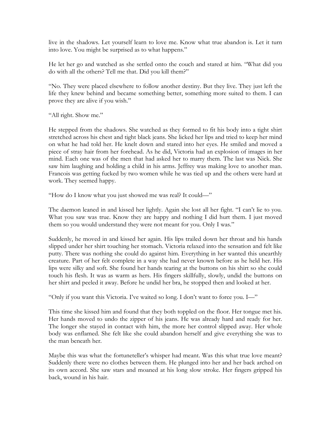live in the shadows. Let yourself learn to love me. Know what true abandon is. Let it turn into love. You might be surprised as to what happens."

He let her go and watched as she settled onto the couch and stared at him. "What did you do with all the others? Tell me that. Did you kill them?"

"No. They were placed elsewhere to follow another destiny. But they live. They just left the life they knew behind and became something better, something more suited to them. I can prove they are alive if you wish."

"All right. Show me."

He stepped from the shadows. She watched as they formed to fit his body into a tight shirt stretched across his chest and tight black jeans. She licked her lips and tried to keep her mind on what he had told her. He knelt down and stared into her eyes. He smiled and moved a piece of stray hair from her forehead. As he did, Victoria had an explosion of images in her mind. Each one was of the men that had asked her to marry them. The last was Nick. She saw him laughing and holding a child in his arms. Jeffrey was making love to another man. Francois was getting fucked by two women while he was tied up and the others were hard at work. They seemed happy.

"How do I know what you just showed me was real? It could—"

The daemon leaned in and kissed her lightly. Again she lost all her fight. "I can't lie to you. What you saw was true. Know they are happy and nothing I did hurt them. I just moved them so you would understand they were not meant for you. Only I was."

Suddenly, he moved in and kissed her again. His lips trailed down her throat and his hands slipped under her shirt touching her stomach. Victoria relaxed into the sensation and felt like putty. There was nothing she could do against him. Everything in her wanted this unearthly creature. Part of her felt complete in a way she had never known before as he held her. His lips were silky and soft. She found her hands tearing at the buttons on his shirt so she could touch his flesh. It was as warm as hers. His fingers skillfully, slowly, undid the buttons on her shirt and peeled it away. Before he undid her bra, he stopped then and looked at her.

"Only if you want this Victoria. I've waited so long. I don't want to force you. I—"

This time she kissed him and found that they both toppled on the floor. Her tongue met his. Her hands moved to undo the zipper of his jeans. He was already hard and ready for her. The longer she stayed in contact with him, the more her control slipped away. Her whole body was enflamed. She felt like she could abandon herself and give everything she was to the man beneath her.

Maybe this was what the fortuneteller's whisper had meant. Was this what true love meant? Suddenly there were no clothes between them. He plunged into her and her back arched on its own accord. She saw stars and moaned at his long slow stroke. Her fingers gripped his back, wound in his hair.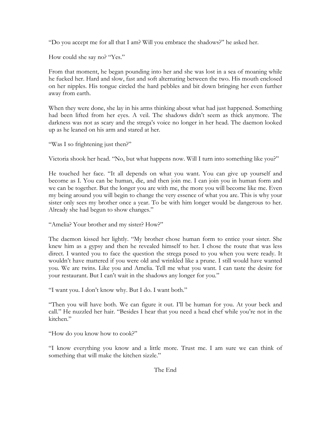"Do you accept me for all that I am? Will you embrace the shadows?" he asked her.

How could she say no? "Yes."

From that moment, he began pounding into her and she was lost in a sea of moaning while he fucked her. Hard and slow, fast and soft alternating between the two. His mouth enclosed on her nipples. His tongue circled the hard pebbles and bit down bringing her even further away from earth.

When they were done, she lay in his arms thinking about what had just happened. Something had been lifted from her eyes. A veil. The shadows didn't seem as thick anymore. The darkness was not as scary and the strega's voice no longer in her head. The daemon looked up as he leaned on his arm and stared at her.

"Was I so frightening just then?"

Victoria shook her head. "No, but what happens now. Will I turn into something like you?"

He touched her face. "It all depends on what you want. You can give up yourself and become as I. You can be human, die, and then join me. I can join you in human form and we can be together. But the longer you are with me, the more you will become like me. Even my being around you will begin to change the very essence of what you are. This is why your sister only sees my brother once a year. To be with him longer would be dangerous to her. Already she had begun to show changes."

"Amelia? Your brother and my sister? How?"

The daemon kissed her lightly. "My brother chose human form to entice your sister. She knew him as a gypsy and then he revealed himself to her. I chose the route that was less direct. I wanted you to face the question the strega posed to you when you were ready. It wouldn't have mattered if you were old and wrinkled like a prune. I still would have wanted you. We are twins. Like you and Amelia. Tell me what you want. I can taste the desire for your restaurant. But I can't wait in the shadows any longer for you."

"I want you. I don't know why. But I do. I want both."

"Then you will have both. We can figure it out. I'll be human for you. At your beck and call." He nuzzled her hair. "Besides I hear that you need a head chef while you're not in the kitchen."

"How do you know how to cook?"

"I know everything you know and a little more. Trust me. I am sure we can think of something that will make the kitchen sizzle."